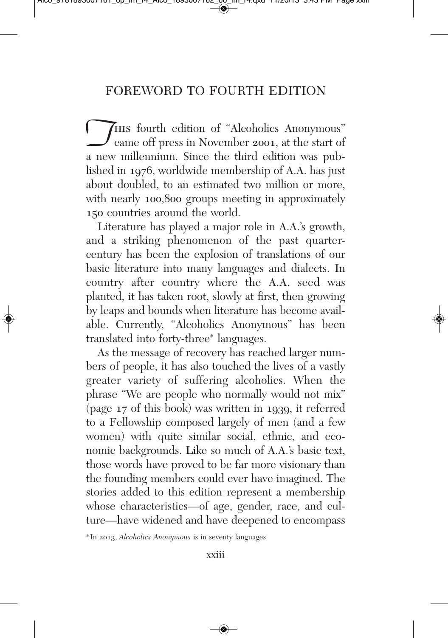This fourth edition of "Alcoholics Anonymous"<br>
came off press in November 2001, at the start of<br>
a new millennium. Since the third edition was pubcame off press in November 2001, at the start of lished in 1976, worldwide membership of A.A. has just about doubled, to an estimated two million or more, with nearly 100,800 groups meeting in approximately 150 countries around the world.

Literature has played a major role in A.A.'s growth, and a striking phenomenon of the past quarter century has been the explosion of translations of our basic literature into many languages and dialects. In country after country where the A.A. seed was planted, it has taken root, slowly at first, then growing by leaps and bounds when literature has become available. Currently, "Alcoholics Anonymous" has been translated into forty-three\* languages.

As the message of recovery has reached larger numbers of people, it has also touched the lives of a vastly greater variety of suffering alcoholics. When the phrase "We are people who normally would not mix" (page 17 of this book) was written in 1939, it referred to a Fellowship composed largely of men (and a few women) with quite similar social, ethnic, and economic backgrounds. Like so much of A.A.'s basic text, those words have proved to be far more visionary than the founding members could ever have imagined. The stories added to this edition represent a membership whose characteristics—of age, gender, race, and culture—have widened and have deepened to encompass

\*In 2013, *Alcoholics Anonymous* is in seventy languages.